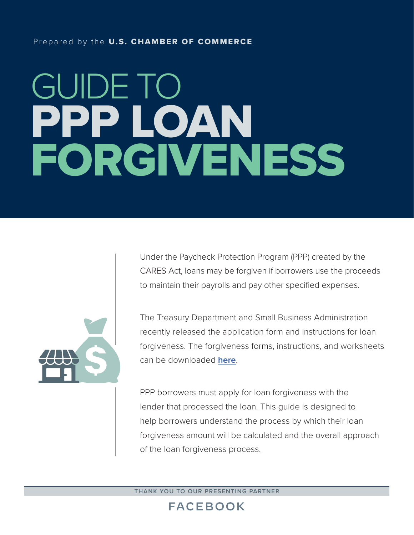#### Prepared by the U.S. CHAMBER OF COMMERCE

# GUIDE TO PPP LOAN FORGIVENESS



Under the Paycheck Protection Program (PPP) created by the CARES Act, loans may be forgiven if borrowers use the proceeds to maintain their payrolls and pay other specified expenses.

The Treasury Department and Small Business Administration recently released the application form and instructions for loan forgiveness. The forgiveness forms, instructions, and worksheets can be downloaded **[here](https://home.treasury.gov/system/files/136/3245-0407-SBA-Form-3508-PPP-Forgiveness-Application.pdf)**.

PPP borrowers must apply for loan forgiveness with the lender that processed the loan. This guide is designed to help borrowers understand the process by which their loan forgiveness amount will be calculated and the overall approach of the loan forgiveness process.

**THANK YOU TO OUR PRESENTING PARTNER**

# **FACEBOOK**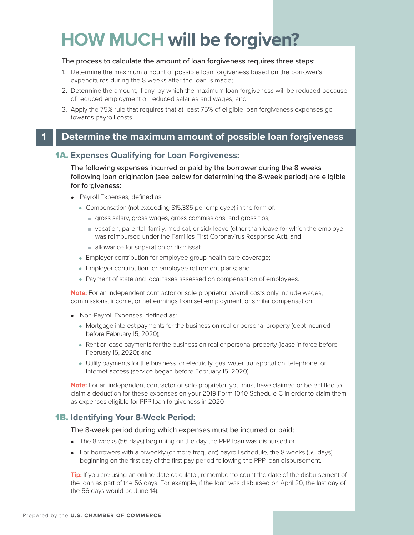# **HOW MUCH will be forgiven?**

#### The process to calculate the amount of loan forgiveness requires three steps:

- 1. Determine the maximum amount of possible loan forgiveness based on the borrower's expenditures during the 8 weeks after the loan is made;
- 2. Determine the amount, if any, by which the maximum loan forgiveness will be reduced because of reduced employment or reduced salaries and wages; and
- 3. Apply the 75% rule that requires that at least 75% of eligible loan forgiveness expenses go towards payroll costs.

### **1 Determine the maximum amount of possible loan forgiveness**

#### 1A. **Expenses Qualifying for Loan Forgiveness:**

The following expenses incurred or paid by the borrower during the 8 weeks following loan origination (see below for determining the 8-week period) are eligible for forgiveness:

- Payroll Expenses, defined as:
	- Compensation (not exceeding \$15,385 per employee) in the form of:
		- gross salary, gross wages, gross commissions, and gross tips,
		- vacation, parental, family, medical, or sick leave (other than leave for which the employer was reimbursed under the Families First Coronavirus Response Act), and
		- allowance for separation or dismissal;
	- Employer contribution for employee group health care coverage;
	- Employer contribution for employee retirement plans; and
	- Payment of state and local taxes assessed on compensation of employees.

**Note:** For an independent contractor or sole proprietor, payroll costs only include wages, commissions, income, or net earnings from self-employment, or similar compensation.

- Non-Payroll Expenses, defined as:
	- Mortgage interest payments for the business on real or personal property (debt incurred before February 15, 2020);
	- Rent or lease payments for the business on real or personal property (lease in force before February 15, 2020); and
	- Utility payments for the business for electricity, gas, water, transportation, telephone, or internet access (service began before February 15, 2020).

**Note:** For an independent contractor or sole proprietor, you must have claimed or be entitled to claim a deduction for these expenses on your 2019 Form 1040 Schedule C in order to claim them as expenses eligible for PPP loan forgiveness in 2020

#### 1B. **Identifying Your 8-Week Period:**

#### The 8-week period during which expenses must be incurred or paid:

- The 8 weeks (56 days) beginning on the day the PPP loan was disbursed or
- For borrowers with a biweekly (or more frequent) payroll schedule, the 8 weeks (56 days) beginning on the first day of the first pay period following the PPP loan disbursement.

**Tip:** If you are using an online date calculator, remember to count the date of the disbursement of the loan as part of the 56 days. For example, if the loan was disbursed on April 20, the last day of the 56 days would be June 14).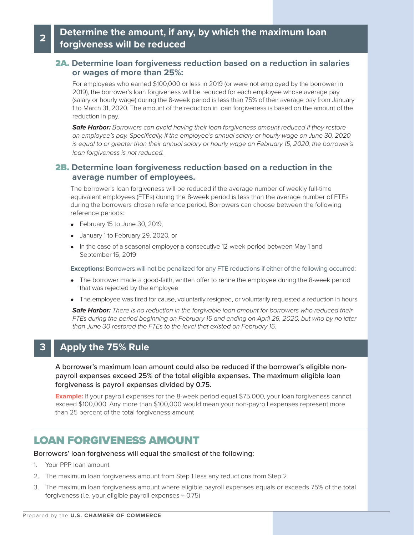### **<sup>2</sup> Determine the amount, if any, by which the maximum loan forgiveness will be reduced**

#### 2A. **Determine loan forgiveness reduction based on a reduction in salaries or wages of more than 25%:**

For employees who earned \$100,000 or less in 2019 (or were not employed by the borrower in 2019), the borrower's loan forgiveness will be reduced for each employee whose average pay (salary or hourly wage) during the 8-week period is less than 75% of their average pay from January 1 to March 31, 2020. The amount of the reduction in loan forgiveness is based on the amount of the reduction in pay.

*Safe Harbor: Borrowers can avoid having their loan forgiveness amount reduced if they restore an employee's pay. Specifically, if the employee's annual salary or hourly wage on June 30, 2020 is equal to or greater than their annual salary or hourly wage on February 15, 2020, the borrower's loan forgiveness is not reduced.*

#### 2B. **Determine loan forgiveness reduction based on a reduction in the average number of employees.**

The borrower's loan forgiveness will be reduced if the average number of weekly full-time equivalent employees (FTEs) during the 8-week period is less than the average number of FTEs during the borrowers chosen reference period. Borrowers can choose between the following reference periods:

- February 15 to June 30, 2019,
- January 1 to February 29, 2020, or
- In the case of a seasonal employer a consecutive 12-week period between May 1 and September 15, 2019

**Exceptions:** Borrowers will not be penalized for any FTE reductions if either of the following occurred:

- The borrower made a good-faith, written offer to rehire the employee during the 8-week period that was rejected by the employee
- The employee was fired for cause, voluntarily resigned, or voluntarily requested a reduction in hours

*Safe Harbor: There is no reduction in the forgivable loan amount for borrowers who reduced their FTEs during the period beginning on February 15 and ending on April 26, 2020, but who by no later than June 30 restored the FTEs to the level that existed on February 15.*

### **3 Apply the 75% Rule**

A borrower's maximum loan amount could also be reduced if the borrower's eligible nonpayroll expenses exceed 25% of the total eligible expenses. The maximum eligible loan forgiveness is payroll expenses divided by 0.75.

**Example:** If your payroll expenses for the 8-week period equal \$75,000, your loan forgiveness cannot exceed \$100,000. Any more than \$100,000 would mean your non-payroll expenses represent more than 25 percent of the total forgiveness amount

## LOAN FORGIVENESS AMOUNT

Borrowers' loan forgiveness will equal the smallest of the following:

- 1. Your PPP loan amount
- 2. The maximum loan forgiveness amount from Step 1 less any reductions from Step 2
- 3. The maximum loan forgiveness amount where eligible payroll expenses equals or exceeds 75% of the total forgiveness (i.e. your eligible payroll expenses  $\div$  0.75)